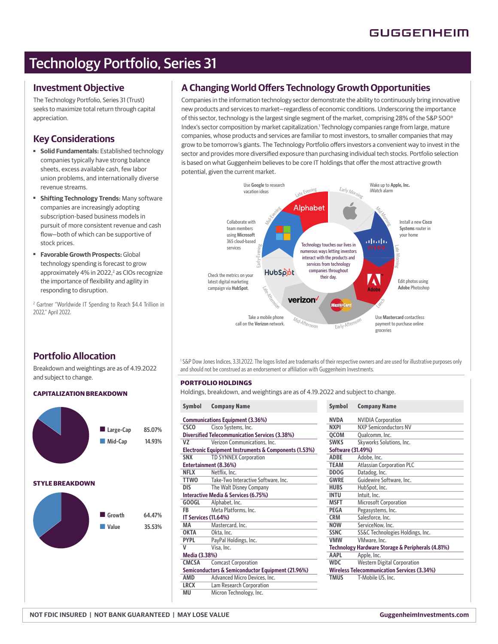# Technology Portfolio, Series 31

### **Investment Objective**

The Technology Portfolio, Series 31 (Trust) seeks to maximize total return through capital appreciation.

### **Key Considerations**

- **Solid Fundamentals:** Established technology companies typically have strong balance sheets, excess available cash, few labor union problems, and internationally diverse revenue streams.
- **Shifting Technology Trends:** Many software companies are increasingly adopting subscription-based business models in pursuit of more consistent revenue and cash flow-both of which can be supportive of stock prices.
- ■ **Favorable Growth Prospects:** Global technology spending is forecast to grow approximately 4% in 2022,<sup>2</sup> as CIOs recognize the importance of flexibility and agility in responding to disruption.

2 Gartner "Worldwide IT Spending to Reach \$4.4 Trillion in 2022," April 2022.

## **A Changing World Offers Technology Growth Opportunities**

Companies in the information technology sector demonstrate the ability to continuously bring innovative new products and services to market—regardless of economic conditions. Underscoring the importance of this sector, technology is the largest single segment of the market, comprising 28% of the S&P 500® Index's sector composition by market capitalization.1 Technology companies range from large, mature companies, whose products and services are familiar to most investors, to smaller companies that may grow to be tomorrow's giants. The Technology Portfolio offers investors a convenient way to invest in the sector and provides more diversified exposure than purchasing individual tech stocks. Portfolio selection is based on what Guggenheim believes to be core IT holdings that offer the most attractive growth potential, given the current market.



**Portfolio Allocation**

Breakdown and weightings are as of 4.19.2022 and subject to change.

### **CAPITALIZATION BREAKDOWN**



<sup>1</sup>S&P Dow Jones Indices, 3.31.2022. The logos listed are trademarks of their respective owners and are used for illustrative purposes only and should not be construed as an endorsement or affiliation with Guggenheim Investments.

### **PORTFOLIO HOLDINGS**

Holdings, breakdown, and weightings are as of 4.19.2022 and subject to change.

| <b>Symbol</b>                                         | <b>Company Name</b>                 | <b>Symbol</b>     | <b>Company Name</b>                |
|-------------------------------------------------------|-------------------------------------|-------------------|------------------------------------|
| Communications Equipment (3.36%)                      |                                     | <b>NVDA</b>       | <b>NVIDIA Corporati</b>            |
| <b>CSCO</b>                                           | Cisco Systems, Inc.                 | <b>NXPI</b>       | <b>NXP Semiconduct</b>             |
| <b>Diversified Telecommunication Services (3.38%)</b> |                                     | QCOM              | Qualcomm, Inc.                     |
| VZ                                                    | Verizon Communications, Inc.        | <b>SWKS</b>       | <b>Skyworks Solution</b>           |
| Electronic Equipment Instruments & Components (1.53%) |                                     | Software (31.49%) |                                    |
| <b>SNX</b>                                            | <b>TD SYNNEX Corporation</b>        | <b>ADBE</b>       | Adobe, Inc.                        |
| Entertainment (8.36%)                                 |                                     | TEAM              | Atlassian Corpora                  |
| <b>NFLX</b>                                           | Netflix, Inc.                       | <b>DDOG</b>       | Datadog, Inc.                      |
| <b>TTWO</b>                                           | Take-Two Interactive Software, Inc. | <b>GWRE</b>       | Guidewire Softwa                   |
| <b>DIS</b>                                            | The Walt Disney Company             | <b>HUBS</b>       | HubSpot, Inc.                      |
| Interactive Media & Services (6.75%)                  |                                     | <b>INTU</b>       | Intuit, Inc.                       |
| <b>GOOGL</b>                                          | Alphabet, Inc.                      | <b>MSFT</b>       | Microsoft Corpora                  |
| FB                                                    | Meta Platforms, Inc.                | <b>PEGA</b>       | Pegasystems, Inc.                  |
| <b>IT Services (11.64%)</b>                           |                                     | <b>CRM</b>        | Salesforce, Inc.                   |
| MA                                                    | Mastercard, Inc.                    | <b>NOW</b>        | ServiceNow, Inc.                   |
| <b>OKTA</b>                                           | Okta, Inc.                          | <b>SSNC</b>       | SS&C Technologie                   |
| <b>PYPL</b>                                           | PayPal Holdings, Inc.               | <b>VMW</b>        | VMware, Inc.                       |
| v                                                     | Visa, Inc.                          |                   | <b>Technology Hardware Storago</b> |
| Media (3.38%)                                         |                                     | <b>AAPL</b>       | Apple, Inc.                        |
| <b>CMCSA</b>                                          | <b>Comcast Corporation</b>          | <b>WDC</b>        | <b>Western Digital C</b>           |
| Semiconductors & Semiconductor Equipment (21.96%)     |                                     |                   | <b>Wireless Telecommunication</b>  |
| AMD                                                   | Advanced Micro Devices, Inc.        | <b>TMUS</b>       | T-Mobile US, Inc.                  |
| <b>LRCX</b>                                           | Lam Research Corporation            |                   |                                    |
| MU                                                    | Micron Technology, Inc.             |                   |                                    |

| <b>Company Name</b>                                |  |  |  |
|----------------------------------------------------|--|--|--|
| <b>NVIDIA Corporation</b>                          |  |  |  |
| <b>NXP Semiconductors NV</b>                       |  |  |  |
| Qualcomm, Inc.                                     |  |  |  |
| Skyworks Solutions, Inc.                           |  |  |  |
| Software (31.49%)                                  |  |  |  |
| Adobe, Inc.                                        |  |  |  |
| <b>Atlassian Corporation PLC</b>                   |  |  |  |
| Datadog, Inc.                                      |  |  |  |
| Guidewire Software, Inc.                           |  |  |  |
| HubSpot, Inc.                                      |  |  |  |
| Intuit, Inc.                                       |  |  |  |
| <b>Microsoft Corporation</b>                       |  |  |  |
| Pegasystems, Inc.                                  |  |  |  |
| Salesforce, Inc.                                   |  |  |  |
| ServiceNow, Inc.                                   |  |  |  |
| SS&C Technologies Holdings, Inc.                   |  |  |  |
| VMware, Inc.                                       |  |  |  |
| Technology Hardware Storage & Peripherals (4.81%)  |  |  |  |
| Apple, Inc.                                        |  |  |  |
| <b>Western Digital Corporation</b>                 |  |  |  |
| <b>Wireless Telecommunication Services (3.34%)</b> |  |  |  |
| T-Mobile US, Inc.                                  |  |  |  |
|                                                    |  |  |  |